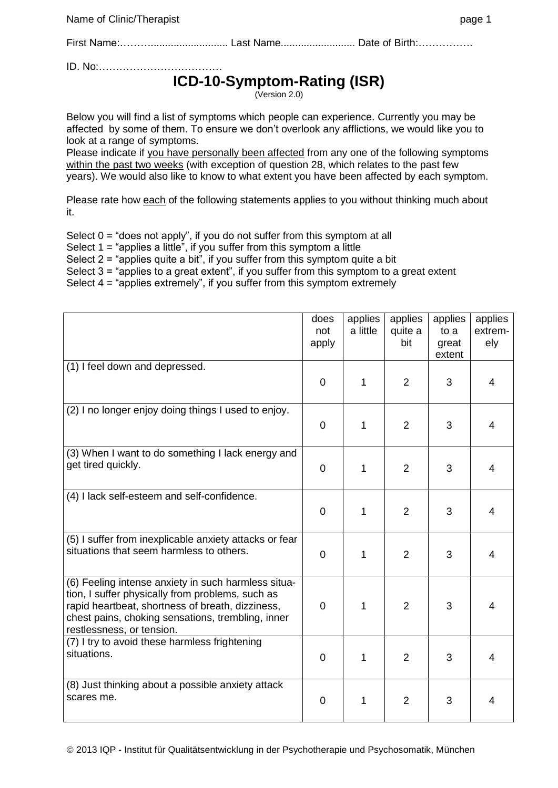Name of Clinic/Therapist page 1

First Name:………........................... Last Name.......................... Date of Birth:…………….

ID. No:………………………………

## **ICD-10-Symptom-Rating (ISR)**

(Version 2.0)

Below you will find a list of symptoms which people can experience. Currently you may be affected by some of them. To ensure we don't overlook any afflictions, we would like you to look at a range of symptoms.

Please indicate if you have personally been affected from any one of the following symptoms within the past two weeks (with exception of question 28, which relates to the past few years). We would also like to know to what extent you have been affected by each symptom.

Please rate how each of the following statements applies to you without thinking much about it.

Select  $0 =$  "does not apply", if you do not suffer from this symptom at all Select  $1 =$  "applies a little", if you suffer from this symptom a little Select 2 = "applies quite a bit", if you suffer from this symptom quite a bit Select 3 = "applies to a great extent", if you suffer from this symptom to a great extent Select  $4 =$  "applies extremely", if you suffer from this symptom extremely

|                                                                                                                                                                                                                                               | does<br>not<br>apply | applies<br>a little | applies<br>quite a<br>bit | applies<br>to a<br>great<br>extent | applies<br>extrem-<br>ely |
|-----------------------------------------------------------------------------------------------------------------------------------------------------------------------------------------------------------------------------------------------|----------------------|---------------------|---------------------------|------------------------------------|---------------------------|
| (1) I feel down and depressed.                                                                                                                                                                                                                | $\overline{0}$       | 1                   | $\overline{2}$            | 3                                  | $\overline{4}$            |
| (2) I no longer enjoy doing things I used to enjoy.                                                                                                                                                                                           | 0                    | 1                   | $\overline{2}$            | 3                                  | 4                         |
| (3) When I want to do something I lack energy and<br>get tired quickly.                                                                                                                                                                       | 0                    | 1                   | $\overline{2}$            | 3                                  | 4                         |
| (4) I lack self-esteem and self-confidence.                                                                                                                                                                                                   | 0                    | 1                   | $\overline{2}$            | 3                                  | 4                         |
| (5) I suffer from inexplicable anxiety attacks or fear<br>situations that seem harmless to others.                                                                                                                                            | $\overline{0}$       | 1                   | $\overline{2}$            | 3                                  | 4                         |
| (6) Feeling intense anxiety in such harmless situa-<br>tion, I suffer physically from problems, such as<br>rapid heartbeat, shortness of breath, dizziness,<br>chest pains, choking sensations, trembling, inner<br>restlessness, or tension. | 0                    | 1                   | $\overline{2}$            | 3                                  | 4                         |
| (7) I try to avoid these harmless frightening<br>situations.                                                                                                                                                                                  | 0                    | 1                   | $\overline{2}$            | 3                                  | 4                         |
| (8) Just thinking about a possible anxiety attack<br>scares me.                                                                                                                                                                               | $\overline{0}$       | 1                   | $\overline{2}$            | 3                                  | 4                         |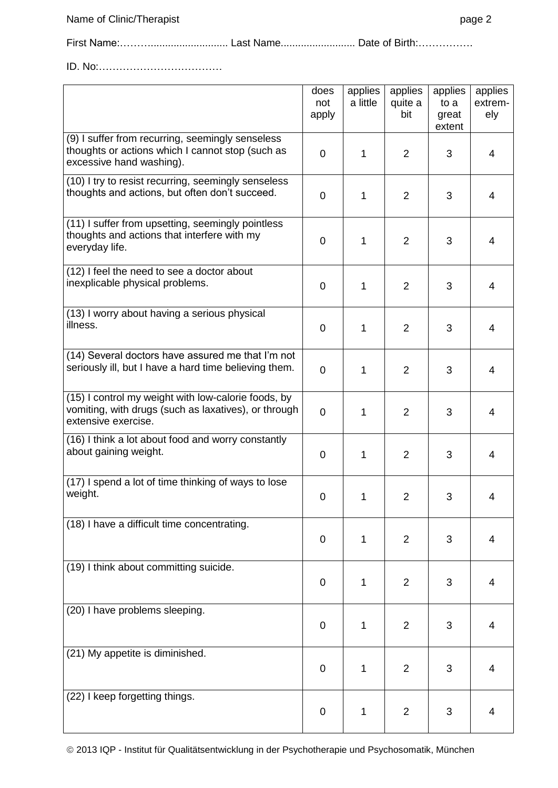First Name:………........................... Last Name.......................... Date of Birth:…………….

ID. No:………………………………

|                                                                                                                                    | does<br>not<br>apply | applies<br>a little | applies<br>quite a<br>bit | applies<br>to a<br>great<br>extent | applies<br>extrem-<br>ely |
|------------------------------------------------------------------------------------------------------------------------------------|----------------------|---------------------|---------------------------|------------------------------------|---------------------------|
| (9) I suffer from recurring, seemingly senseless<br>thoughts or actions which I cannot stop (such as<br>excessive hand washing).   | 0                    | 1                   | $\overline{2}$            | 3                                  | 4                         |
| (10) I try to resist recurring, seemingly senseless<br>thoughts and actions, but often don't succeed.                              |                      | $\mathbf{1}$        | 2                         | 3                                  | 4                         |
| (11) I suffer from upsetting, seemingly pointless<br>thoughts and actions that interfere with my<br>everyday life.                 |                      | $\mathbf 1$         | $\overline{2}$            | 3                                  | 4                         |
| (12) I feel the need to see a doctor about<br>inexplicable physical problems.                                                      | $\mathbf 0$          | 1                   | $\overline{2}$            | 3                                  | 4                         |
| (13) I worry about having a serious physical<br>illness.                                                                           | $\mathbf 0$          | 1                   | 2                         | 3                                  | 4                         |
| (14) Several doctors have assured me that I'm not<br>seriously ill, but I have a hard time believing them.                         | $\overline{0}$       | 1                   | $\overline{2}$            | 3                                  | 4                         |
| (15) I control my weight with low-calorie foods, by<br>vomiting, with drugs (such as laxatives), or through<br>extensive exercise. | $\overline{0}$       | 1                   | $\overline{2}$            | 3                                  | 4                         |
| (16) I think a lot about food and worry constantly<br>about gaining weight.                                                        | $\mathbf 0$          | 1                   | $\overline{2}$            | 3                                  | 4                         |
| (17) I spend a lot of time thinking of ways to lose<br>weight.                                                                     | $\mathbf 0$          | 1                   | $\overline{2}$            | 3                                  | 4                         |
| (18) I have a difficult time concentrating.                                                                                        | $\overline{0}$       | $\mathbf{1}$        | $\overline{2}$            | 3                                  | $\overline{4}$            |
| (19) I think about committing suicide.                                                                                             | $\mathbf 0$          | 1                   | 2                         | 3                                  | 4                         |
| (20) I have problems sleeping.                                                                                                     | $\mathbf 0$          | $\mathbf 1$         | $\overline{2}$            | 3                                  | 4                         |
| (21) My appetite is diminished.                                                                                                    | $\mathbf 0$          | $\mathbf{1}$        | $\overline{2}$            | 3                                  | $\overline{4}$            |
| (22) I keep forgetting things.                                                                                                     | 0                    | 1                   | $\overline{2}$            | 3                                  | 4                         |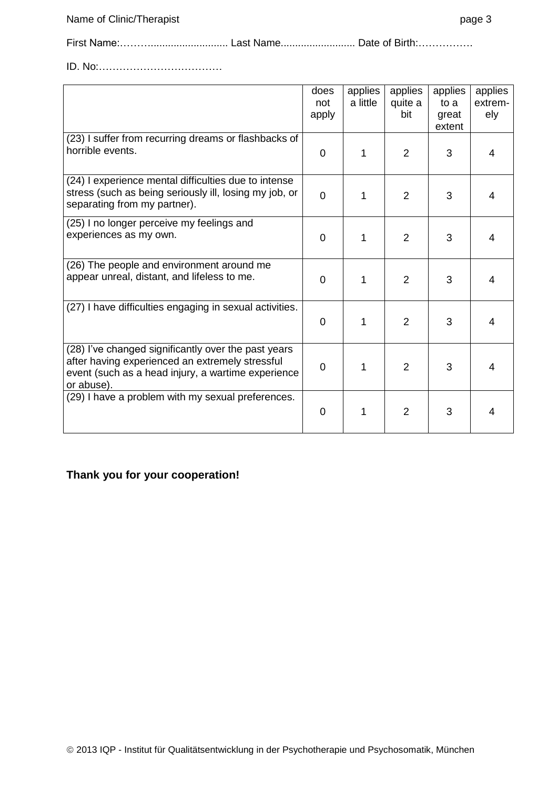First Name:………........................... Last Name.......................... Date of Birth:…………….

ID. No:………………………………

|                                                                                                                                                                            | does<br>not<br>apply | applies<br>a little | applies<br>quite a<br>bit | applies<br>to a<br>great<br>extent | applies<br>extrem-<br>ely |
|----------------------------------------------------------------------------------------------------------------------------------------------------------------------------|----------------------|---------------------|---------------------------|------------------------------------|---------------------------|
| (23) I suffer from recurring dreams or flashbacks of<br>horrible events.                                                                                                   | $\overline{0}$       | 1                   | $\overline{2}$            | 3                                  | 4                         |
| (24) I experience mental difficulties due to intense<br>stress (such as being seriously ill, losing my job, or<br>separating from my partner).                             | $\overline{0}$       | 1                   | $\overline{2}$            | 3                                  | 4                         |
| (25) I no longer perceive my feelings and<br>experiences as my own.                                                                                                        | $\overline{0}$       |                     | $\overline{2}$            | 3                                  | 4                         |
| (26) The people and environment around me<br>appear unreal, distant, and lifeless to me.                                                                                   | $\Omega$             | 1                   | 2                         | 3                                  | 4                         |
| (27) I have difficulties engaging in sexual activities.                                                                                                                    | $\overline{0}$       | 1                   | $\overline{2}$            | 3                                  | 4                         |
| (28) I've changed significantly over the past years<br>after having experienced an extremely stressful<br>event (such as a head injury, a wartime experience<br>or abuse). | $\overline{0}$       | 1                   | $\overline{2}$            | 3                                  | 4                         |
| (29) I have a problem with my sexual preferences.                                                                                                                          | 0                    |                     | $\overline{2}$            | 3                                  | 4                         |

## **Thank you for your cooperation!**